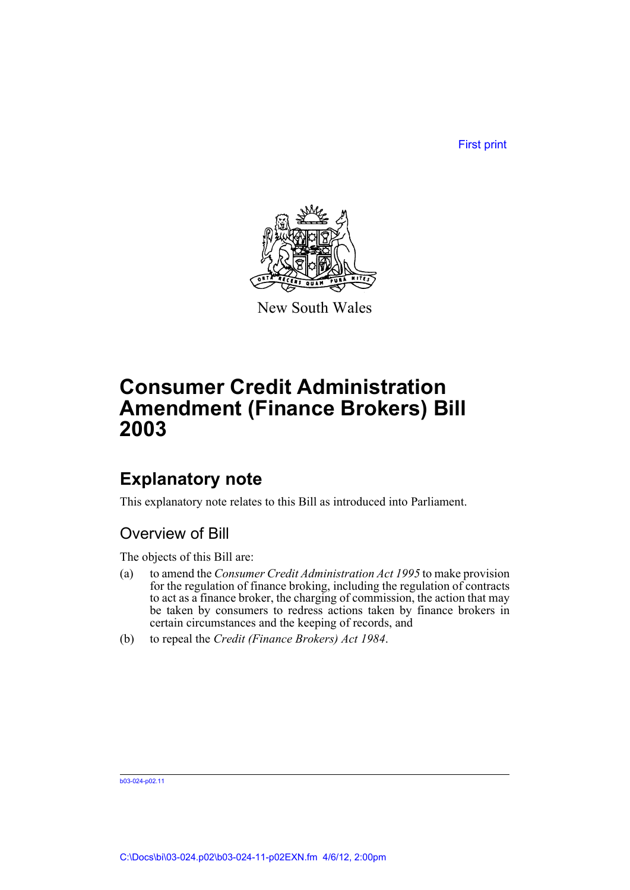First print



New South Wales

# **Consumer Credit Administration Amendment (Finance Brokers) Bill 2003**

## **Explanatory note**

This explanatory note relates to this Bill as introduced into Parliament.

## Overview of Bill

The objects of this Bill are:

- (a) to amend the *Consumer Credit Administration Act 1995* to make provision for the regulation of finance broking, including the regulation of contracts to act as a finance broker, the charging of commission, the action that may be taken by consumers to redress actions taken by finance brokers in certain circumstances and the keeping of records, and
- (b) to repeal the *Credit (Finance Brokers) Act 1984*.

b03-024-p02.11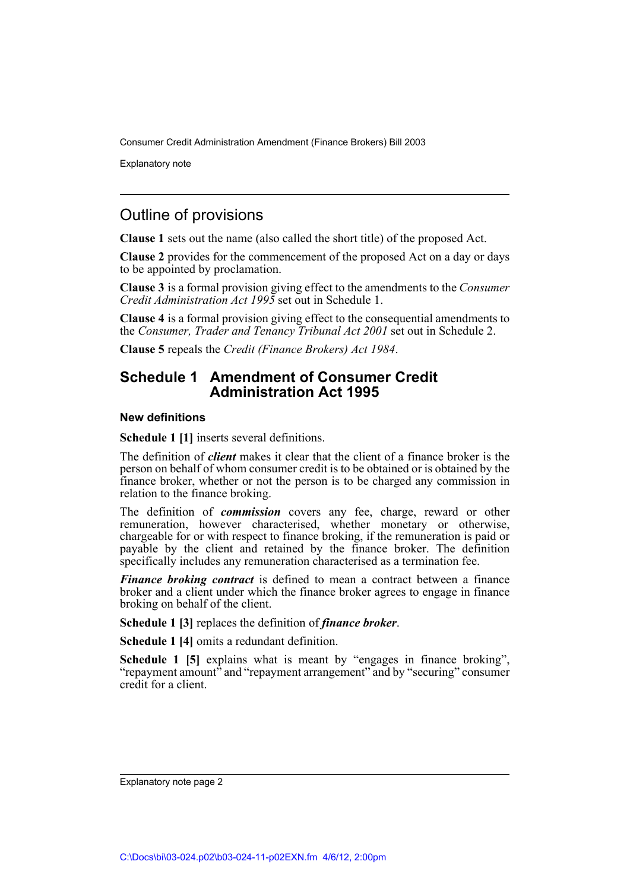Explanatory note

## Outline of provisions

**Clause 1** sets out the name (also called the short title) of the proposed Act.

**Clause 2** provides for the commencement of the proposed Act on a day or days to be appointed by proclamation.

**Clause 3** is a formal provision giving effect to the amendments to the *Consumer Credit Administration Act 1995* set out in Schedule 1.

**Clause 4** is a formal provision giving effect to the consequential amendments to the *Consumer, Trader and Tenancy Tribunal Act 2001* set out in Schedule 2.

**Clause 5** repeals the *Credit (Finance Brokers) Act 1984*.

## **Schedule 1 Amendment of Consumer Credit Administration Act 1995**

#### **New definitions**

**Schedule 1 [1]** inserts several definitions.

The definition of *client* makes it clear that the client of a finance broker is the person on behalf of whom consumer credit is to be obtained or is obtained by the finance broker, whether or not the person is to be charged any commission in relation to the finance broking.

The definition of *commission* covers any fee, charge, reward or other remuneration, however characterised, whether monetary or otherwise, chargeable for or with respect to finance broking, if the remuneration is paid or payable by the client and retained by the finance broker. The definition specifically includes any remuneration characterised as a termination fee.

*Finance broking contract* is defined to mean a contract between a finance broker and a client under which the finance broker agrees to engage in finance broking on behalf of the client.

**Schedule 1 [3]** replaces the definition of *finance broker*.

**Schedule 1 [4]** omits a redundant definition.

**Schedule 1 [5]** explains what is meant by "engages in finance broking", "repayment amount" and "repayment arrangement" and by "securing" consumer credit for a client.

Explanatory note page 2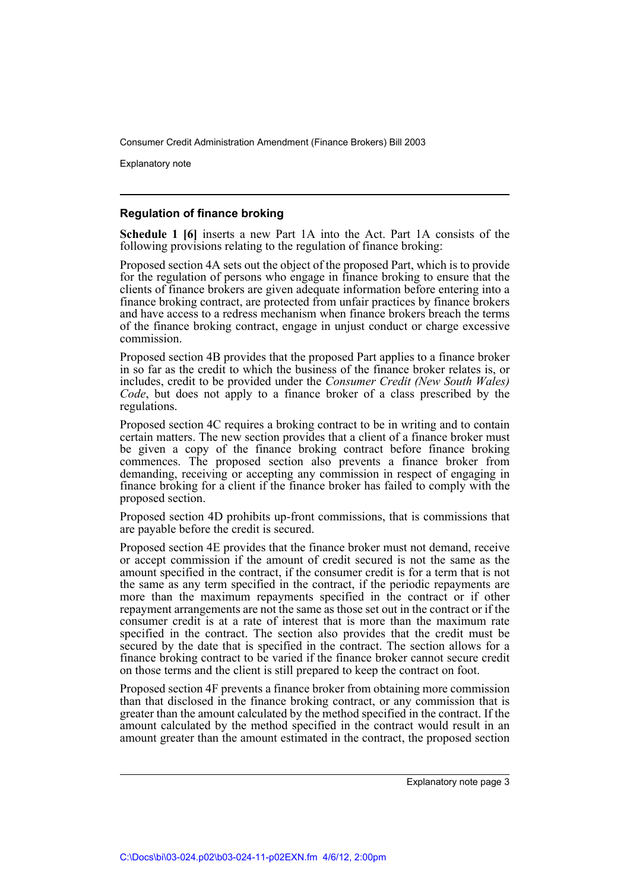Explanatory note

#### **Regulation of finance broking**

**Schedule 1 [6]** inserts a new Part 1A into the Act. Part 1A consists of the following provisions relating to the regulation of finance broking:

Proposed section 4A sets out the object of the proposed Part, which is to provide for the regulation of persons who engage in finance broking to ensure that the clients of finance brokers are given adequate information before entering into a finance broking contract, are protected from unfair practices by finance brokers and have access to a redress mechanism when finance brokers breach the terms of the finance broking contract, engage in unjust conduct or charge excessive commission.

Proposed section 4B provides that the proposed Part applies to a finance broker in so far as the credit to which the business of the finance broker relates is, or includes, credit to be provided under the *Consumer Credit (New South Wales) Code*, but does not apply to a finance broker of a class prescribed by the regulations.

Proposed section 4C requires a broking contract to be in writing and to contain certain matters. The new section provides that a client of a finance broker must be given a copy of the finance broking contract before finance broking commences. The proposed section also prevents a finance broker from demanding, receiving or accepting any commission in respect of engaging in finance broking for a client if the finance broker has failed to comply with the proposed section.

Proposed section 4D prohibits up-front commissions, that is commissions that are payable before the credit is secured.

Proposed section 4E provides that the finance broker must not demand, receive or accept commission if the amount of credit secured is not the same as the amount specified in the contract, if the consumer credit is for a term that is not the same as any term specified in the contract, if the periodic repayments are more than the maximum repayments specified in the contract or if other repayment arrangements are not the same as those set out in the contract or if the consumer credit is at a rate of interest that is more than the maximum rate specified in the contract. The section also provides that the credit must be secured by the date that is specified in the contract. The section allows for a finance broking contract to be varied if the finance broker cannot secure credit on those terms and the client is still prepared to keep the contract on foot.

Proposed section 4F prevents a finance broker from obtaining more commission than that disclosed in the finance broking contract, or any commission that is greater than the amount calculated by the method specified in the contract. If the amount calculated by the method specified in the contract would result in an amount greater than the amount estimated in the contract, the proposed section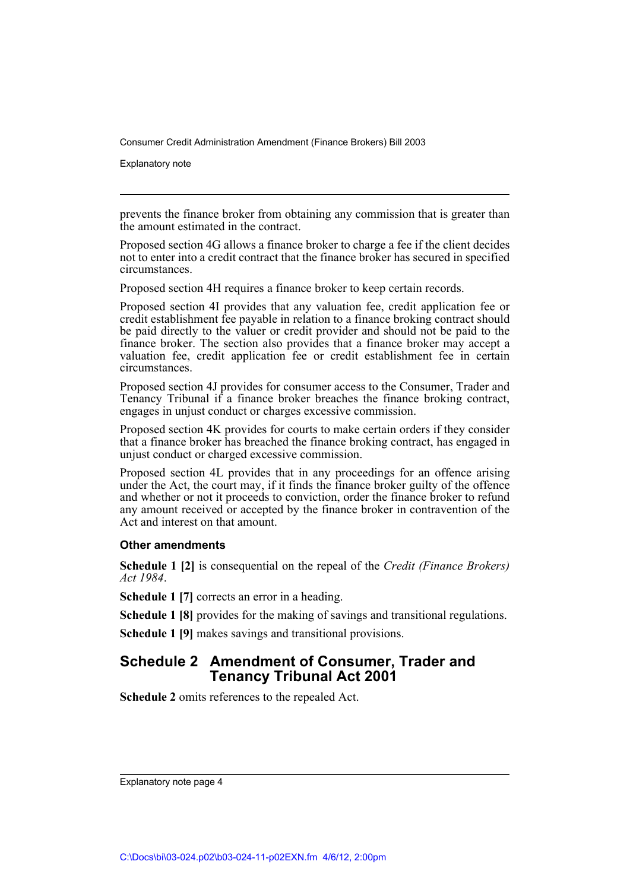Explanatory note

prevents the finance broker from obtaining any commission that is greater than the amount estimated in the contract.

Proposed section 4G allows a finance broker to charge a fee if the client decides not to enter into a credit contract that the finance broker has secured in specified circumstances.

Proposed section 4H requires a finance broker to keep certain records.

Proposed section 4I provides that any valuation fee, credit application fee or credit establishment fee payable in relation to a finance broking contract should be paid directly to the valuer or credit provider and should not be paid to the finance broker. The section also provides that a finance broker may accept a valuation fee, credit application fee or credit establishment fee in certain circumstances.

Proposed section 4J provides for consumer access to the Consumer, Trader and Tenancy Tribunal if a finance broker breaches the finance broking contract, engages in unjust conduct or charges excessive commission.

Proposed section 4K provides for courts to make certain orders if they consider that a finance broker has breached the finance broking contract, has engaged in unjust conduct or charged excessive commission.

Proposed section 4L provides that in any proceedings for an offence arising under the Act, the court may, if it finds the finance broker guilty of the offence and whether or not it proceeds to conviction, order the finance broker to refund any amount received or accepted by the finance broker in contravention of the Act and interest on that amount.

#### **Other amendments**

**Schedule 1 [2]** is consequential on the repeal of the *Credit (Finance Brokers) Act 1984*.

**Schedule 1 [7]** corrects an error in a heading.

**Schedule 1 [8]** provides for the making of savings and transitional regulations.

**Schedule 1 [9]** makes savings and transitional provisions.

### **Schedule 2 Amendment of Consumer, Trader and Tenancy Tribunal Act 2001**

**Schedule 2** omits references to the repealed Act.

Explanatory note page 4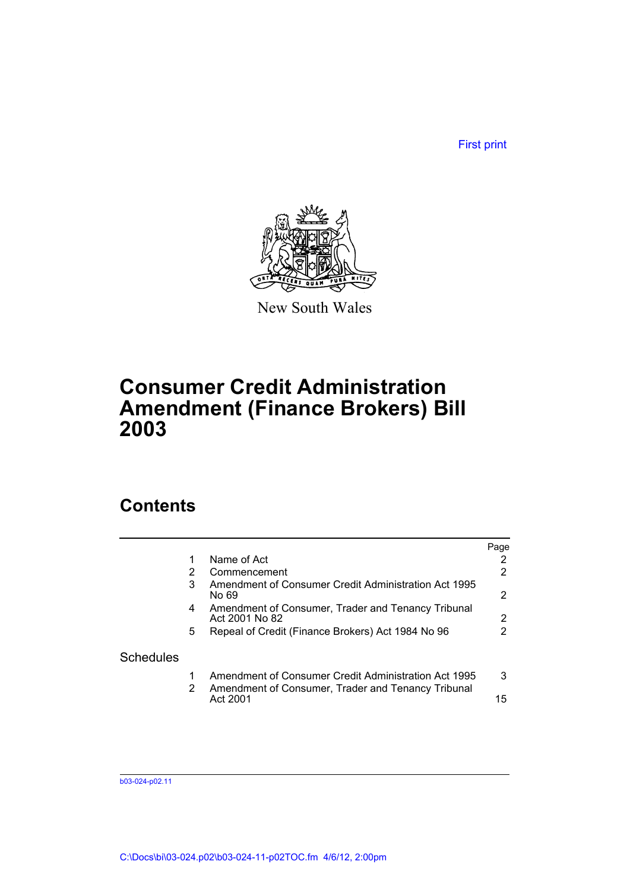First print



New South Wales

# **Consumer Credit Administration Amendment (Finance Brokers) Bill 2003**

## **Contents**

|                  |   |                                                                                                            | Page                  |
|------------------|---|------------------------------------------------------------------------------------------------------------|-----------------------|
|                  |   | Name of Act                                                                                                | 2                     |
|                  |   | Commencement                                                                                               | 2                     |
|                  | 3 | Amendment of Consumer Credit Administration Act 1995<br>No 69                                              | 2                     |
|                  | 4 | Amendment of Consumer, Trader and Tenancy Tribunal<br>Act 2001 No 82                                       | $\mathbf{2}^{\prime}$ |
|                  | 5 | Repeal of Credit (Finance Brokers) Act 1984 No 96                                                          | 2                     |
| <b>Schedules</b> |   |                                                                                                            |                       |
|                  | 2 | Amendment of Consumer Credit Administration Act 1995<br>Amendment of Consumer, Trader and Tenancy Tribunal | 3                     |
|                  |   | Act 2001                                                                                                   | 15                    |

b03-024-p02.11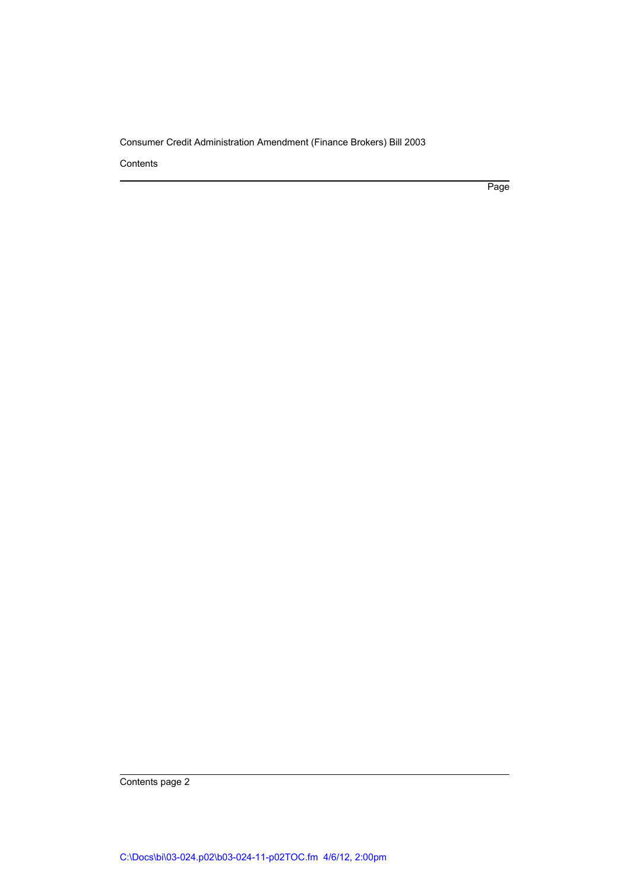Contents

Page

Contents page 2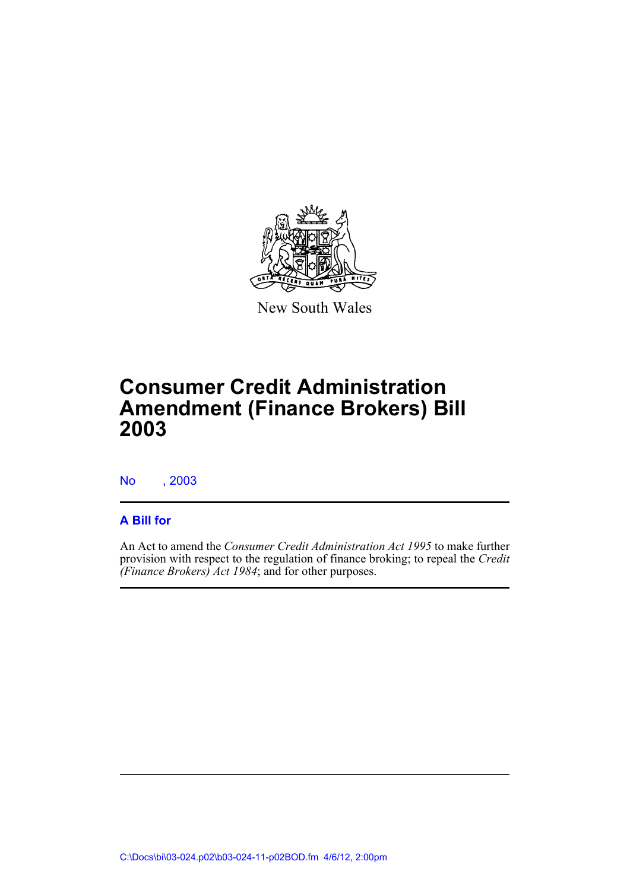

New South Wales

# **Consumer Credit Administration Amendment (Finance Brokers) Bill 2003**

No , 2003

## **A Bill for**

An Act to amend the *Consumer Credit Administration Act 1995* to make further provision with respect to the regulation of finance broking; to repeal the *Credit (Finance Brokers) Act 1984*; and for other purposes.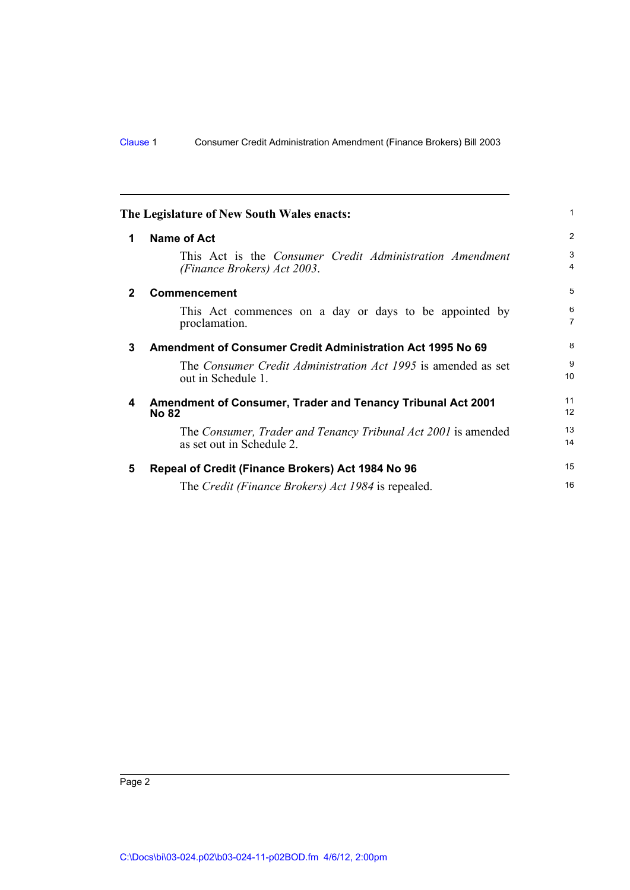<span id="page-7-4"></span><span id="page-7-3"></span><span id="page-7-2"></span><span id="page-7-1"></span><span id="page-7-0"></span>

|             | The Legislature of New South Wales enacts:                                                     | 1                              |
|-------------|------------------------------------------------------------------------------------------------|--------------------------------|
| 1           | <b>Name of Act</b>                                                                             | $\overline{2}$                 |
|             | This Act is the <i>Consumer Credit Administration Amendment</i><br>(Finance Brokers) Act 2003. | $\mathbf{3}$<br>$\overline{4}$ |
| $\mathbf 2$ | <b>Commencement</b>                                                                            | 5                              |
|             | This Act commences on a day or days to be appointed by<br>proclamation.                        | 6<br>$\overline{7}$            |
| 3           | Amendment of Consumer Credit Administration Act 1995 No 69                                     | 8                              |
|             | The <i>Consumer Credit Administration Act 1995</i> is amended as set<br>out in Schedule 1.     | 9<br>10                        |
| 4           | <b>Amendment of Consumer, Trader and Tenancy Tribunal Act 2001</b><br><b>No 82</b>             | 11<br>12                       |
|             | The Consumer, Trader and Tenancy Tribunal Act 2001 is amended<br>as set out in Schedule 2.     | 13<br>14                       |
| 5           | Repeal of Credit (Finance Brokers) Act 1984 No 96                                              | 15                             |
|             | The Credit (Finance Brokers) Act 1984 is repealed.                                             | 16                             |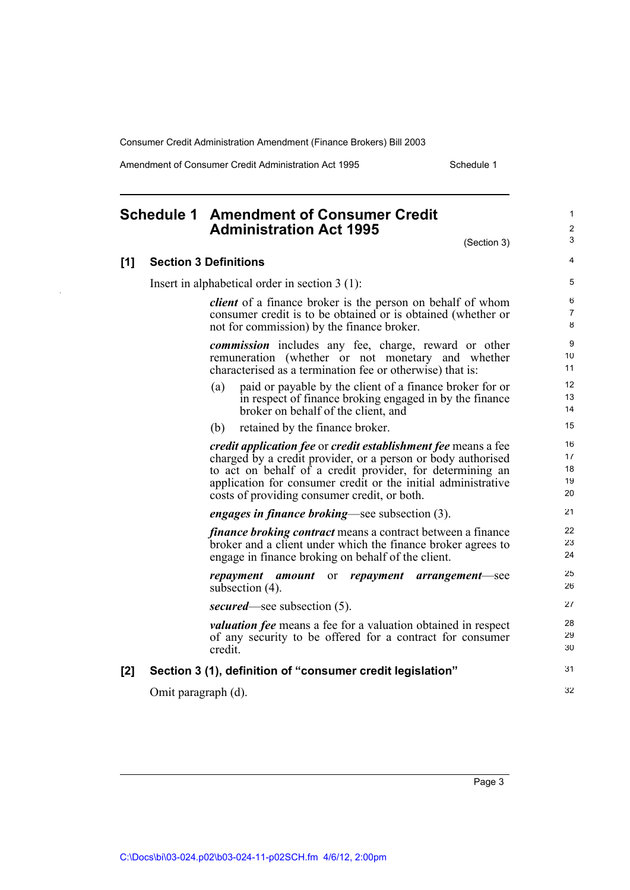Amendment of Consumer Credit Administration Act 1995 Schedule 1

(Section 3)

32

## <span id="page-8-0"></span>**Schedule 1 Amendment of Consumer Credit Administration Act 1995**

#### **[1] Section 3 Definitions**

Insert in alphabetical order in section 3 (1):

*client* of a finance broker is the person on behalf of whom consumer credit is to be obtained or is obtained (whether or not for commission) by the finance broker.

*commission* includes any fee, charge, reward or other remuneration (whether or not monetary and whether characterised as a termination fee or otherwise) that is:

- (a) paid or payable by the client of a finance broker for or in respect of finance broking engaged in by the finance broker on behalf of the client, and
- (b) retained by the finance broker.

*credit application fee* or *credit establishment fee* means a fee charged by a credit provider, or a person or body authorised to act on behalf of a credit provider, for determining an application for consumer credit or the initial administrative costs of providing consumer credit, or both.

*engages in finance broking*—see subsection (3).

*finance broking contract* means a contract between a finance broker and a client under which the finance broker agrees to engage in finance broking on behalf of the client.

*repayment amount* or *repayment arrangement*—see subsection (4). *secured*—see subsection (5).

*valuation fee* means a fee for a valuation obtained in respect of any security to be offered for a contract for consumer credit.

#### **[2] Section 3 (1), definition of "consumer credit legislation"** 31

Omit paragraph (d).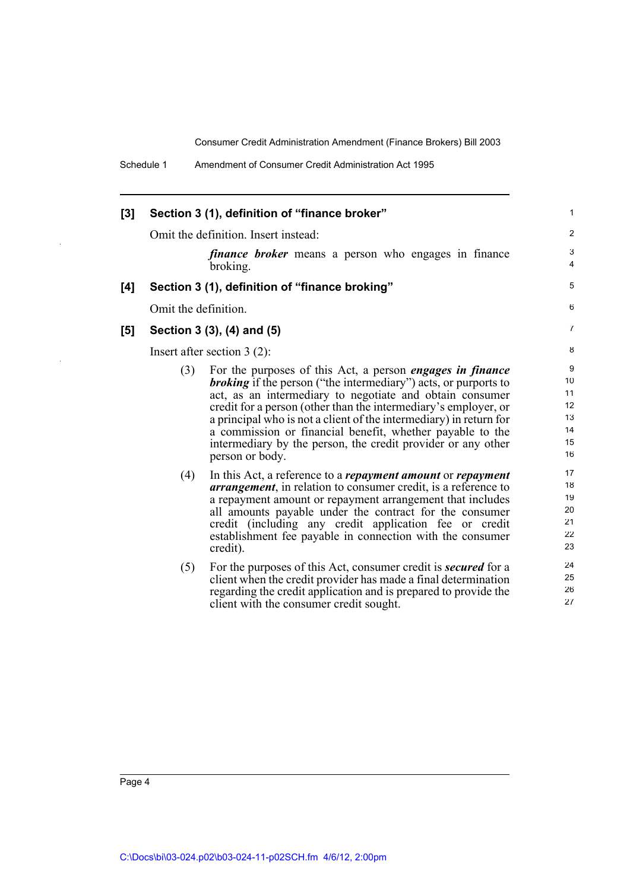| [3] | Section 3 (1), definition of "finance broker" |                                                                                                                                                                                                                                                                                                                                                                                                                                                                                                 |                                                            |  |  |
|-----|-----------------------------------------------|-------------------------------------------------------------------------------------------------------------------------------------------------------------------------------------------------------------------------------------------------------------------------------------------------------------------------------------------------------------------------------------------------------------------------------------------------------------------------------------------------|------------------------------------------------------------|--|--|
|     | Omit the definition. Insert instead:          |                                                                                                                                                                                                                                                                                                                                                                                                                                                                                                 |                                                            |  |  |
|     |                                               | <i>finance broker</i> means a person who engages in finance<br>broking.                                                                                                                                                                                                                                                                                                                                                                                                                         | 3<br>$\overline{4}$                                        |  |  |
| [4] |                                               | Section 3 (1), definition of "finance broking"                                                                                                                                                                                                                                                                                                                                                                                                                                                  | 5                                                          |  |  |
|     | Omit the definition.                          |                                                                                                                                                                                                                                                                                                                                                                                                                                                                                                 | 6                                                          |  |  |
| [5] |                                               | Section 3 (3), (4) and (5)                                                                                                                                                                                                                                                                                                                                                                                                                                                                      | $\overline{7}$                                             |  |  |
|     |                                               | Insert after section $3(2)$ :                                                                                                                                                                                                                                                                                                                                                                                                                                                                   | 8                                                          |  |  |
|     | (3)                                           | For the purposes of this Act, a person <i>engages in finance</i><br><i>broking</i> if the person ("the intermediary") acts, or purports to<br>act, as an intermediary to negotiate and obtain consumer<br>credit for a person (other than the intermediary's employer, or<br>a principal who is not a client of the intermediary) in return for<br>a commission or financial benefit, whether payable to the<br>intermediary by the person, the credit provider or any other<br>person or body. | $\boldsymbol{9}$<br>10<br>11<br>12<br>13<br>14<br>15<br>16 |  |  |
|     | (4)                                           | In this Act, a reference to a <i>repayment amount</i> or <i>repayment</i><br><i>arrangement</i> , in relation to consumer credit, is a reference to<br>a repayment amount or repayment arrangement that includes<br>all amounts payable under the contract for the consumer<br>credit (including any credit application fee or credit<br>establishment fee payable in connection with the consumer<br>credit).                                                                                  | 17<br>18<br>19<br>20<br>21<br>22<br>23                     |  |  |
|     | (5)                                           | For the purposes of this Act, consumer credit is <b>secured</b> for a<br>client when the credit provider has made a final determination<br>regarding the credit application and is prepared to provide the<br>client with the consumer credit sought.                                                                                                                                                                                                                                           | 24<br>25<br>26<br>27                                       |  |  |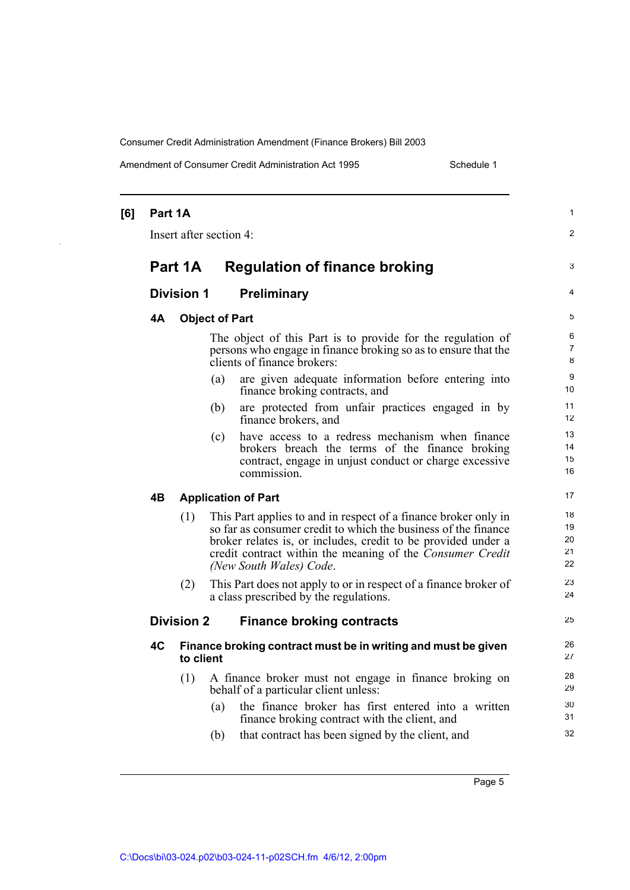Amendment of Consumer Credit Administration Act 1995 Schedule 1

| [6] | Part 1A                 |                   |                       |                                                                                                                                                                                                                                                                                            | $\mathbf{1}$               |
|-----|-------------------------|-------------------|-----------------------|--------------------------------------------------------------------------------------------------------------------------------------------------------------------------------------------------------------------------------------------------------------------------------------------|----------------------------|
|     | Insert after section 4: |                   |                       |                                                                                                                                                                                                                                                                                            |                            |
|     |                         | Part 1A           |                       | <b>Regulation of finance broking</b>                                                                                                                                                                                                                                                       | 3                          |
|     |                         | <b>Division 1</b> |                       | <b>Preliminary</b>                                                                                                                                                                                                                                                                         | 4                          |
|     | <b>4A</b>               |                   | <b>Object of Part</b> |                                                                                                                                                                                                                                                                                            | 5                          |
|     |                         |                   |                       | The object of this Part is to provide for the regulation of<br>persons who engage in finance broking so as to ensure that the<br>clients of finance brokers:                                                                                                                               | 6<br>7<br>8                |
|     |                         |                   | (a)                   | are given adequate information before entering into<br>finance broking contracts, and                                                                                                                                                                                                      | 9<br>10                    |
|     |                         |                   | (b)                   | are protected from unfair practices engaged in by<br>finance brokers, and                                                                                                                                                                                                                  | 11<br>12                   |
|     |                         |                   | (c)                   | have access to a redress mechanism when finance<br>brokers breach the terms of the finance broking<br>contract, engage in unjust conduct or charge excessive<br>commission.                                                                                                                | 13<br>14<br>15<br>16       |
|     | 4B                      |                   |                       | <b>Application of Part</b>                                                                                                                                                                                                                                                                 | 17                         |
|     |                         | (1)               |                       | This Part applies to and in respect of a finance broker only in<br>so far as consumer credit to which the business of the finance<br>broker relates is, or includes, credit to be provided under a<br>credit contract within the meaning of the Consumer Credit<br>(New South Wales) Code. | 18<br>19<br>20<br>21<br>22 |
|     |                         | (2)               |                       | This Part does not apply to or in respect of a finance broker of<br>a class prescribed by the regulations.                                                                                                                                                                                 | 23<br>24                   |
|     |                         | <b>Division 2</b> |                       | <b>Finance broking contracts</b>                                                                                                                                                                                                                                                           | 25                         |
|     | 4C                      | to client         |                       | Finance broking contract must be in writing and must be given                                                                                                                                                                                                                              | 26<br>27                   |
|     |                         | (1)               | (a)                   | A finance broker must not engage in finance broking on<br>behalf of a particular client unless:<br>the finance broker has first entered into a written<br>finance broking contract with the client, and                                                                                    | 28<br>29<br>30<br>31       |
|     |                         |                   | (b)                   | that contract has been signed by the client, and                                                                                                                                                                                                                                           | 32                         |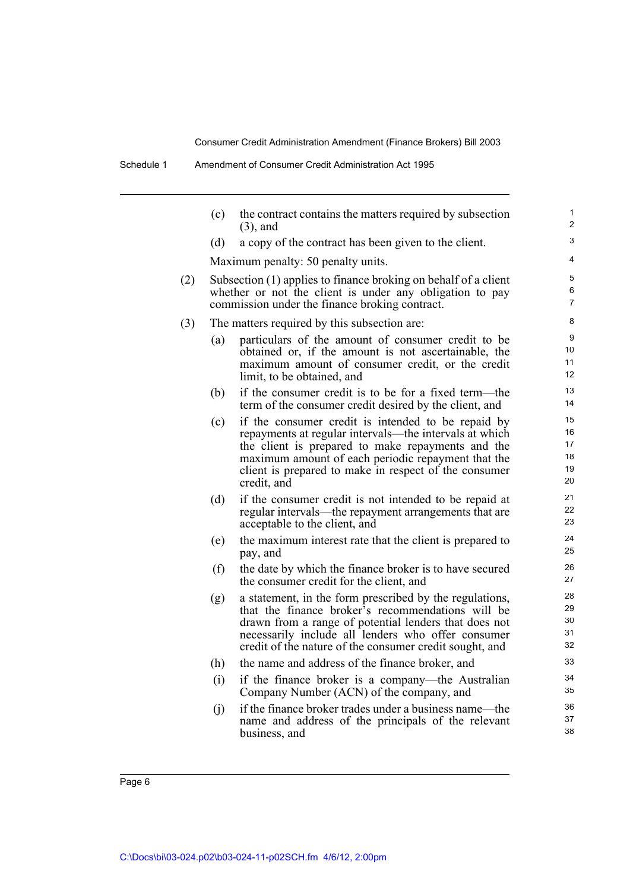|     | (c)                                          | the contract contains the matters required by subsection<br>$(3)$ , and                                                                                                                                                                                                                         | 1<br>$\overline{c}$              |  |  |  |  |
|-----|----------------------------------------------|-------------------------------------------------------------------------------------------------------------------------------------------------------------------------------------------------------------------------------------------------------------------------------------------------|----------------------------------|--|--|--|--|
|     | (d)                                          | a copy of the contract has been given to the client.                                                                                                                                                                                                                                            | 3                                |  |  |  |  |
|     |                                              | Maximum penalty: 50 penalty units.                                                                                                                                                                                                                                                              | 4                                |  |  |  |  |
| (2) |                                              | Subsection (1) applies to finance broking on behalf of a client<br>whether or not the client is under any obligation to pay<br>commission under the finance broking contract.                                                                                                                   |                                  |  |  |  |  |
| (3) | The matters required by this subsection are: |                                                                                                                                                                                                                                                                                                 |                                  |  |  |  |  |
|     | (a)                                          | particulars of the amount of consumer credit to be<br>obtained or, if the amount is not ascertainable, the<br>maximum amount of consumer credit, or the credit<br>limit, to be obtained, and                                                                                                    | 9<br>10<br>11<br>12              |  |  |  |  |
|     | (b)                                          | if the consumer credit is to be for a fixed term—the<br>term of the consumer credit desired by the client, and                                                                                                                                                                                  | 13<br>14                         |  |  |  |  |
|     | (c)                                          | if the consumer credit is intended to be repaid by<br>repayments at regular intervals—the intervals at which<br>the client is prepared to make repayments and the<br>maximum amount of each periodic repayment that the<br>client is prepared to make in respect of the consumer<br>credit, and | 15<br>16<br>17<br>18<br>19<br>20 |  |  |  |  |
|     | (d)                                          | if the consumer credit is not intended to be repaid at<br>regular intervals—the repayment arrangements that are<br>acceptable to the client, and                                                                                                                                                | 21<br>22<br>23                   |  |  |  |  |
|     | (e)                                          | the maximum interest rate that the client is prepared to<br>pay, and                                                                                                                                                                                                                            | 24<br>25                         |  |  |  |  |
|     | (f)                                          | the date by which the finance broker is to have secured<br>the consumer credit for the client, and                                                                                                                                                                                              | 26<br>27                         |  |  |  |  |
|     | (g)                                          | a statement, in the form prescribed by the regulations,<br>that the finance broker's recommendations will be<br>drawn from a range of potential lenders that does not<br>necessarily include all lenders who offer consumer<br>credit of the nature of the consumer credit sought, and          | 28<br>29<br>30<br>31<br>32       |  |  |  |  |
|     | (h)                                          | the name and address of the finance broker, and                                                                                                                                                                                                                                                 | 33                               |  |  |  |  |
|     | (i)                                          | if the finance broker is a company—the Australian<br>Company Number (ACN) of the company, and                                                                                                                                                                                                   | 34<br>35                         |  |  |  |  |
|     | (i)                                          | if the finance broker trades under a business name—the<br>name and address of the principals of the relevant<br>business, and                                                                                                                                                                   | 36<br>37<br>38                   |  |  |  |  |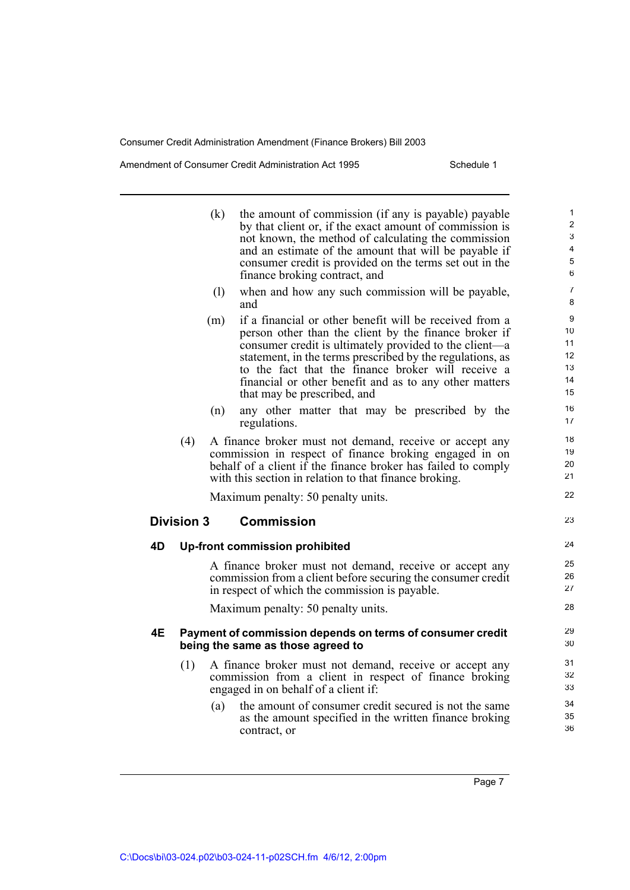Amendment of Consumer Credit Administration Act 1995 Schedule 1

|    |                   | (k) | the amount of commission (if any is payable) payable<br>by that client or, if the exact amount of commission is<br>not known, the method of calculating the commission<br>and an estimate of the amount that will be payable if<br>consumer credit is provided on the terms set out in the<br>finance broking contract, and                                                            | 1<br>$\overline{2}$<br>3<br>4<br>5<br>6 |
|----|-------------------|-----|----------------------------------------------------------------------------------------------------------------------------------------------------------------------------------------------------------------------------------------------------------------------------------------------------------------------------------------------------------------------------------------|-----------------------------------------|
|    |                   | (1) | when and how any such commission will be payable,<br>and                                                                                                                                                                                                                                                                                                                               | $\overline{7}$<br>8                     |
|    |                   | (m) | if a financial or other benefit will be received from a<br>person other than the client by the finance broker if<br>consumer credit is ultimately provided to the client—a<br>statement, in the terms prescribed by the regulations, as<br>to the fact that the finance broker will receive a<br>financial or other benefit and as to any other matters<br>that may be prescribed, and | 9<br>10<br>11<br>12<br>13<br>14<br>15   |
|    |                   | (n) | any other matter that may be prescribed by the<br>regulations.                                                                                                                                                                                                                                                                                                                         | 16<br>17                                |
|    | (4)               |     | A finance broker must not demand, receive or accept any<br>commission in respect of finance broking engaged in on<br>behalf of a client if the finance broker has failed to comply<br>with this section in relation to that finance broking.                                                                                                                                           | 18<br>19<br>20<br>21                    |
|    |                   |     | Maximum penalty: 50 penalty units.                                                                                                                                                                                                                                                                                                                                                     | 22                                      |
|    | <b>Division 3</b> |     | <b>Commission</b>                                                                                                                                                                                                                                                                                                                                                                      | 23                                      |
| 4D |                   |     | <b>Up-front commission prohibited</b>                                                                                                                                                                                                                                                                                                                                                  | 24                                      |
|    |                   |     | A finance broker must not demand, receive or accept any<br>commission from a client before securing the consumer credit<br>in respect of which the commission is payable.                                                                                                                                                                                                              | 25<br>26<br>27                          |
|    |                   |     | Maximum penalty: 50 penalty units.                                                                                                                                                                                                                                                                                                                                                     | 28                                      |
| 4E |                   |     | Payment of commission depends on terms of consumer credit<br>being the same as those agreed to                                                                                                                                                                                                                                                                                         | 29<br>30                                |
|    | (1)               |     | A finance broker must not demand, receive or accept any<br>commission from a client in respect of finance broking<br>engaged in on behalf of a client if:                                                                                                                                                                                                                              | 31<br>32<br>33                          |
|    |                   | (a) | the amount of consumer credit secured is not the same<br>as the amount specified in the written finance broking<br>contract, or                                                                                                                                                                                                                                                        | 34<br>35<br>36                          |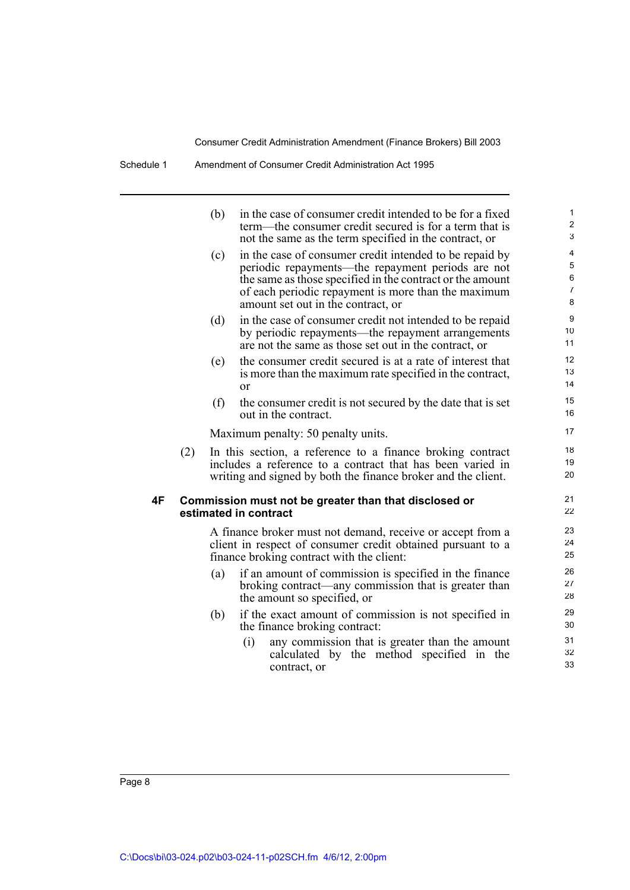|    |     | (b) | in the case of consumer credit intended to be for a fixed<br>term—the consumer credit secured is for a term that is<br>not the same as the term specified in the contract, or                                                                                          | 1<br>$\overline{c}$<br>3           |
|----|-----|-----|------------------------------------------------------------------------------------------------------------------------------------------------------------------------------------------------------------------------------------------------------------------------|------------------------------------|
|    |     | (c) | in the case of consumer credit intended to be repaid by<br>periodic repayments—the repayment periods are not<br>the same as those specified in the contract or the amount<br>of each periodic repayment is more than the maximum<br>amount set out in the contract, or | 4<br>5<br>6<br>$\overline{7}$<br>8 |
|    |     | (d) | in the case of consumer credit not intended to be repaid<br>by periodic repayments—the repayment arrangements<br>are not the same as those set out in the contract, or                                                                                                 | 9<br>10<br>11                      |
|    |     | (e) | the consumer credit secured is at a rate of interest that<br>is more than the maximum rate specified in the contract,<br><sub>or</sub>                                                                                                                                 | 12<br>13<br>14                     |
|    |     | (f) | the consumer credit is not secured by the date that is set<br>out in the contract.                                                                                                                                                                                     | 15<br>16                           |
|    |     |     | Maximum penalty: 50 penalty units.                                                                                                                                                                                                                                     | 17                                 |
|    | (2) |     | In this section, a reference to a finance broking contract<br>includes a reference to a contract that has been varied in<br>writing and signed by both the finance broker and the client.                                                                              | 18<br>19<br>20                     |
| 4F |     |     | Commission must not be greater than that disclosed or<br>estimated in contract                                                                                                                                                                                         | 21<br>22                           |
|    |     |     | A finance broker must not demand, receive or accept from a<br>client in respect of consumer credit obtained pursuant to a<br>finance broking contract with the client:                                                                                                 | 23<br>24<br>25                     |
|    |     | (a) | if an amount of commission is specified in the finance<br>broking contract—any commission that is greater than<br>the amount so specified, or                                                                                                                          | 26<br>27<br>28                     |
|    |     | (b) | if the exact amount of commission is not specified in<br>the finance broking contract:                                                                                                                                                                                 | 29<br>30                           |
|    |     |     | (i)<br>any commission that is greater than the amount<br>calculated by the method specified in the<br>contract, or                                                                                                                                                     | 31<br>32<br>33                     |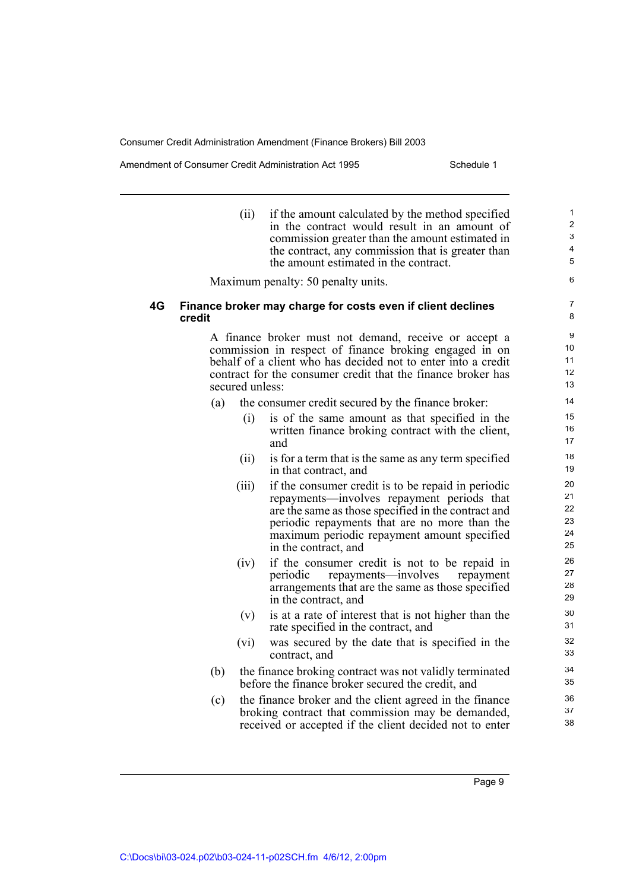Amendment of Consumer Credit Administration Act 1995 Schedule 1

(ii) if the amount calculated by the method specified in the contract would result in an amount of commission greater than the amount estimated in the contract, any commission that is greater than the amount estimated in the contract. Maximum penalty: 50 penalty units. **4G Finance broker may charge for costs even if client declines credit** A finance broker must not demand, receive or accept a commission in respect of finance broking engaged in on behalf of a client who has decided not to enter into a credit contract for the consumer credit that the finance broker has secured unless: (a) the consumer credit secured by the finance broker: (i) is of the same amount as that specified in the written finance broking contract with the client, and (ii) is for a term that is the same as any term specified in that contract, and (iii) if the consumer credit is to be repaid in periodic repayments—involves repayment periods that are the same as those specified in the contract and periodic repayments that are no more than the maximum periodic repayment amount specified in the contract, and (iv) if the consumer credit is not to be repaid in periodic repayments—involves repayment arrangements that are the same as those specified in the contract, and (v) is at a rate of interest that is not higher than the rate specified in the contract, and (vi) was secured by the date that is specified in the contract, and (b) the finance broking contract was not validly terminated before the finance broker secured the credit, and (c) the finance broker and the client agreed in the finance broking contract that commission may be demanded, received or accepted if the client decided not to enter 1  $\overline{2}$ 3 4 5 6 7 8 9 10 11 12 13 14 15 16 17 18 19 20 21 22 23 24 25 26 27 28 29 30 31 32 33 34 35 36 37 38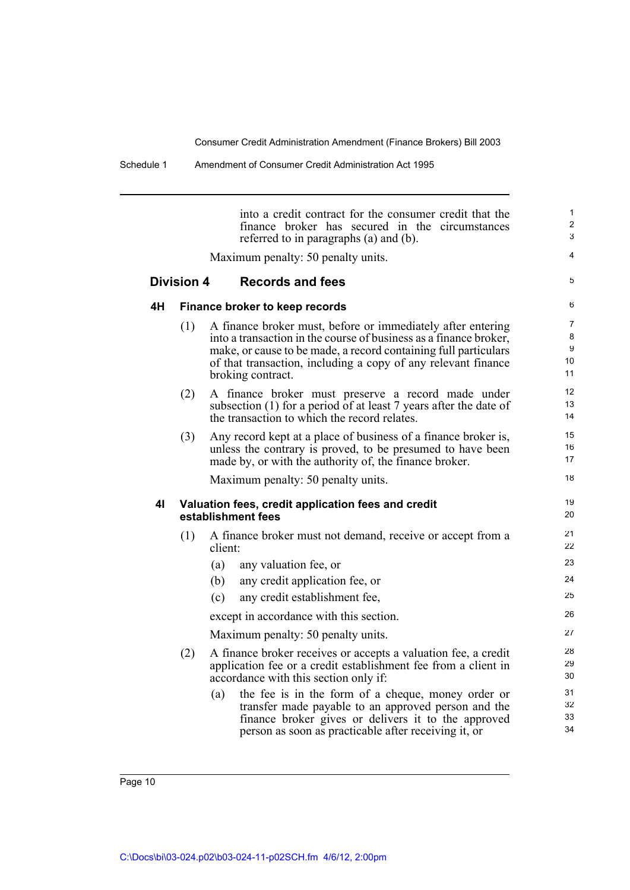Schedule 1 Amendment of Consumer Credit Administration Act 1995

into a credit contract for the consumer credit that the finance broker has secured in the circumstances referred to in paragraphs (a) and (b). Maximum penalty: 50 penalty units. **Division 4 Records and fees 4H Finance broker to keep records** (1) A finance broker must, before or immediately after entering into a transaction in the course of business as a finance broker, make, or cause to be made, a record containing full particulars of that transaction, including a copy of any relevant finance broking contract. (2) A finance broker must preserve a record made under subsection (1) for a period of at least 7 years after the date of the transaction to which the record relates. (3) Any record kept at a place of business of a finance broker is, unless the contrary is proved, to be presumed to have been made by, or with the authority of, the finance broker. Maximum penalty: 50 penalty units. **4I Valuation fees, credit application fees and credit establishment fees** (1) A finance broker must not demand, receive or accept from a client: (a) any valuation fee, or (b) any credit application fee, or (c) any credit establishment fee, except in accordance with this section. Maximum penalty: 50 penalty units. (2) A finance broker receives or accepts a valuation fee, a credit application fee or a credit establishment fee from a client in accordance with this section only if: (a) the fee is in the form of a cheque, money order or transfer made payable to an approved person and the finance broker gives or delivers it to the approved person as soon as practicable after receiving it, or 1  $\overline{2}$ 3 4 5 6 7 8 **9** 10 11 12 13 14 15 16 17 18 19 20 21 22 23 24 25 26 27 28 29 30 31 32 33 34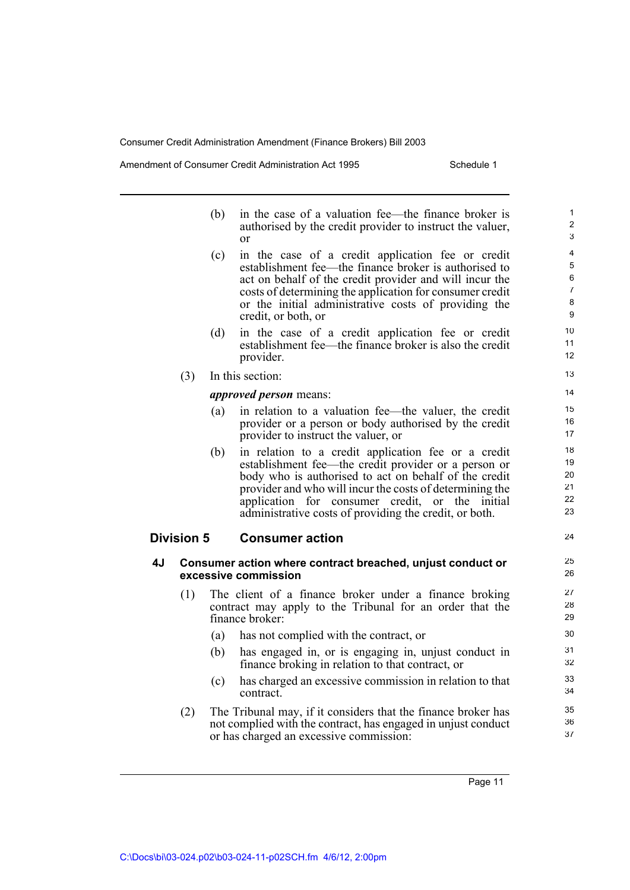Amendment of Consumer Credit Administration Act 1995 Schedule 1

24

|    |                   | (b) | in the case of a valuation fee—the finance broker is<br>authorised by the credit provider to instruct the valuer,<br>or                                                                                                                                                                                                                          |
|----|-------------------|-----|--------------------------------------------------------------------------------------------------------------------------------------------------------------------------------------------------------------------------------------------------------------------------------------------------------------------------------------------------|
|    |                   | (c) | in the case of a credit application fee or credit<br>establishment fee—the finance broker is authorised to<br>act on behalf of the credit provider and will incur the<br>costs of determining the application for consumer credit<br>or the initial administrative costs of providing the<br>credit, or both, or                                 |
|    |                   | (d) | in the case of a credit application fee or credit<br>establishment fee—the finance broker is also the credit<br>provider.                                                                                                                                                                                                                        |
|    | (3)               |     | In this section:                                                                                                                                                                                                                                                                                                                                 |
|    |                   |     | <i>approved person</i> means:                                                                                                                                                                                                                                                                                                                    |
|    |                   | (a) | in relation to a valuation fee—the valuer, the credit<br>provider or a person or body authorised by the credit<br>provider to instruct the valuer, or                                                                                                                                                                                            |
|    |                   | (b) | in relation to a credit application fee or a credit<br>establishment fee—the credit provider or a person or<br>body who is authorised to act on behalf of the credit<br>provider and who will incur the costs of determining the<br>application for consumer credit, or the<br>initial<br>administrative costs of providing the credit, or both. |
|    | <b>Division 5</b> |     | <b>Consumer action</b>                                                                                                                                                                                                                                                                                                                           |
| 4J |                   |     | Consumer action where contract breached, unjust conduct or<br>excessive commission                                                                                                                                                                                                                                                               |
|    | (1)               |     | The client of a finance broker under a finance broking<br>contract may apply to the Tribunal for an order that the<br>finance broker:                                                                                                                                                                                                            |
|    |                   | (a) | has not complied with the contract, or                                                                                                                                                                                                                                                                                                           |
|    |                   | (b) | has engaged in, or is engaging in, unjust conduct in<br>finance broking in relation to that contract, or                                                                                                                                                                                                                                         |
|    |                   | (c) | has charged an excessive commission in relation to that<br>contract.                                                                                                                                                                                                                                                                             |
|    | (2)               |     | The Tribunal may, if it considers that the finance broker has<br>not complied with the contract, has engaged in unjust conduct<br>or has charged an excessive commission:                                                                                                                                                                        |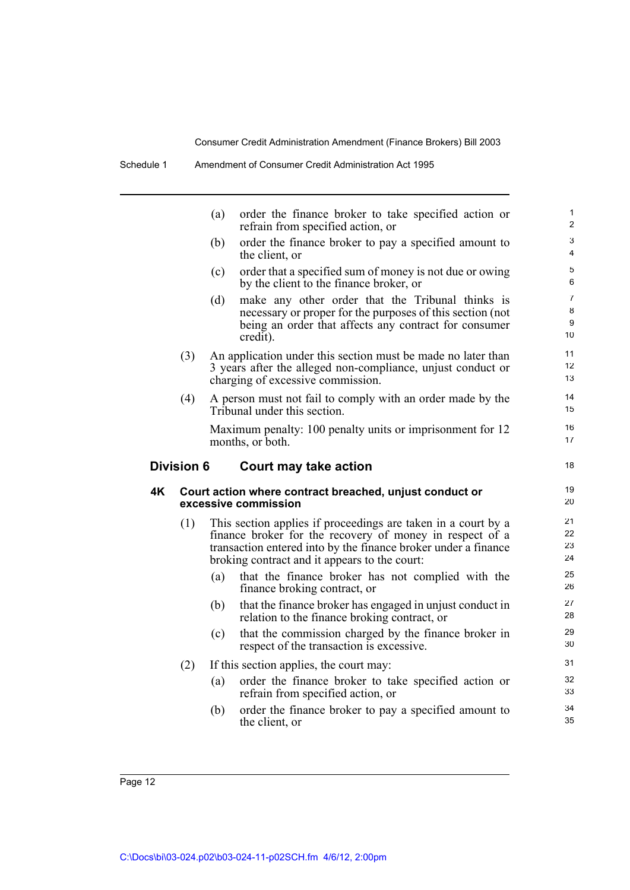|    |                   | (a) | order the finance broker to take specified action or<br>refrain from specified action, or                                                                                                                                                    | $\mathbf{1}$<br>$\overline{2}$ |
|----|-------------------|-----|----------------------------------------------------------------------------------------------------------------------------------------------------------------------------------------------------------------------------------------------|--------------------------------|
|    |                   | (b) | order the finance broker to pay a specified amount to<br>the client, or                                                                                                                                                                      | 3<br>4                         |
|    |                   | (c) | order that a specified sum of money is not due or owing<br>by the client to the finance broker, or                                                                                                                                           | 5<br>6                         |
|    |                   | (d) | make any other order that the Tribunal thinks is<br>necessary or proper for the purposes of this section (not<br>being an order that affects any contract for consumer<br>credit).                                                           | 7<br>8<br>9<br>10              |
|    | (3)               |     | An application under this section must be made no later than<br>3 years after the alleged non-compliance, unjust conduct or<br>charging of excessive commission.                                                                             | 11<br>12<br>13                 |
|    | (4)               |     | A person must not fail to comply with an order made by the<br>Tribunal under this section.                                                                                                                                                   | 14<br>15                       |
|    |                   |     | Maximum penalty: 100 penalty units or imprisonment for 12<br>months, or both.                                                                                                                                                                | 16<br>17                       |
|    | <b>Division 6</b> |     | Court may take action                                                                                                                                                                                                                        | 18                             |
| 4K |                   |     | Court action where contract breached, unjust conduct or<br>excessive commission                                                                                                                                                              | 19<br>20                       |
|    | (1)               |     | This section applies if proceedings are taken in a court by a<br>finance broker for the recovery of money in respect of a<br>transaction entered into by the finance broker under a finance<br>broking contract and it appears to the court: | 21<br>22<br>23<br>24           |
|    |                   | (a) | that the finance broker has not complied with the<br>finance broking contract, or                                                                                                                                                            | 25<br>26                       |
|    |                   | (b) | that the finance broker has engaged in unjust conduct in<br>relation to the finance broking contract, or                                                                                                                                     | 27<br>28                       |
|    |                   | (c) | that the commission charged by the finance broker in<br>respect of the transaction is excessive.                                                                                                                                             | 29<br>30                       |
|    | (2)               |     | If this section applies, the court may:                                                                                                                                                                                                      | 31                             |
|    |                   | (a) | order the finance broker to take specified action or<br>refrain from specified action, or                                                                                                                                                    | 32<br>33                       |
|    |                   | (b) | order the finance broker to pay a specified amount to<br>the client, or                                                                                                                                                                      | 34<br>35                       |
|    |                   |     |                                                                                                                                                                                                                                              |                                |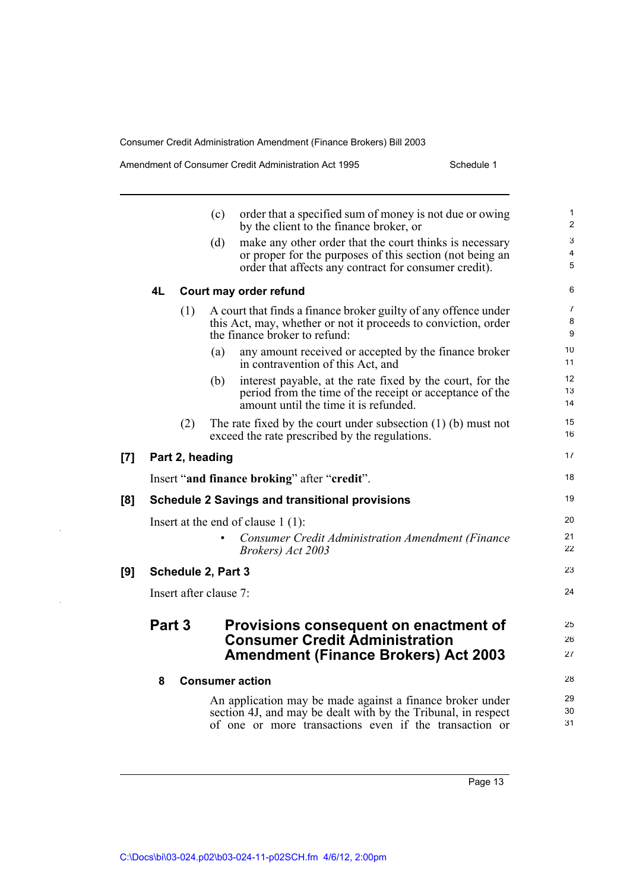[7]

**[9]** 

|     |        | (c)                    | order that a specified sum of money is not due or owing<br>by the client to the finance broker, or                      | 1<br>$\overline{c}$ |
|-----|--------|------------------------|-------------------------------------------------------------------------------------------------------------------------|---------------------|
|     |        | (d)                    | make any other order that the court thinks is necessary                                                                 | 3                   |
|     |        |                        | or proper for the purposes of this section (not being an                                                                | 4                   |
|     |        |                        | order that affects any contract for consumer credit).                                                                   | 5                   |
|     | 4L     |                        | Court may order refund                                                                                                  | 6                   |
|     |        | (1)                    | A court that finds a finance broker guilty of any offence under                                                         | $\overline{7}$      |
|     |        |                        | this Act, may, whether or not it proceeds to conviction, order<br>the finance broker to refund:                         | 8<br>9              |
|     |        | (a)                    | any amount received or accepted by the finance broker<br>in contravention of this Act, and                              | 10<br>11            |
|     |        | (b)                    | interest payable, at the rate fixed by the court, for the                                                               | 12                  |
|     |        |                        | period from the time of the receipt or acceptance of the<br>amount until the time it is refunded.                       | 13<br>14            |
|     |        | (2)                    | The rate fixed by the court under subsection $(1)$ (b) must not<br>exceed the rate prescribed by the regulations.       | 15<br>16            |
| [7] |        | Part 2, heading        |                                                                                                                         | 17                  |
|     |        |                        |                                                                                                                         |                     |
|     |        |                        | Insert "and finance broking" after "credit".                                                                            | 18                  |
| [8] |        |                        | <b>Schedule 2 Savings and transitional provisions</b>                                                                   | 19                  |
|     |        |                        | Insert at the end of clause $1(1)$ :                                                                                    | 20                  |
|     |        |                        | <b>Consumer Credit Administration Amendment (Finance</b><br>Brokers) Act 2003                                           | 21<br>22            |
| [9] |        | Schedule 2, Part 3     |                                                                                                                         | 23                  |
|     |        | Insert after clause 7: |                                                                                                                         | 24                  |
|     | Part 3 |                        | Provisions consequent on enactment of                                                                                   | 25                  |
|     |        |                        | <b>Consumer Credit Administration</b>                                                                                   | 26                  |
|     |        |                        | <b>Amendment (Finance Brokers) Act 2003</b>                                                                             | 27                  |
|     | 8      | <b>Consumer action</b> |                                                                                                                         | 28                  |
|     |        |                        | An application may be made against a finance broker under                                                               | 29                  |
|     |        |                        | section 4J, and may be dealt with by the Tribunal, in respect<br>of one or more transactions even if the transaction or | 30<br>31            |
|     |        |                        |                                                                                                                         |                     |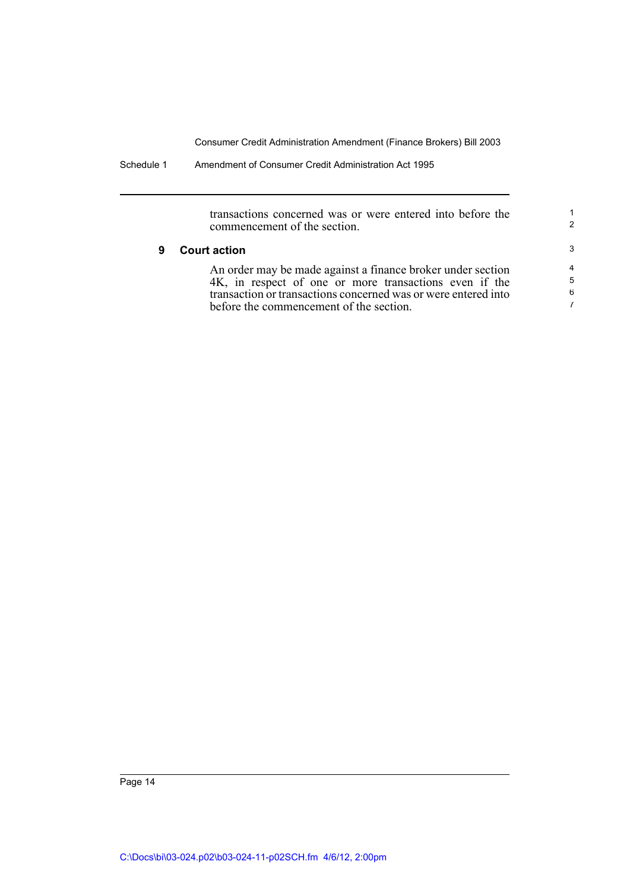Schedule 1 Amendment of Consumer Credit Administration Act 1995

transactions concerned was or were entered into before the commencement of the section.

1 2

### **9 Court action**

An order may be made against a finance broker under section 4K, in respect of one or more transactions even if the transaction or transactions concerned was or were entered into before the commencement of the section.